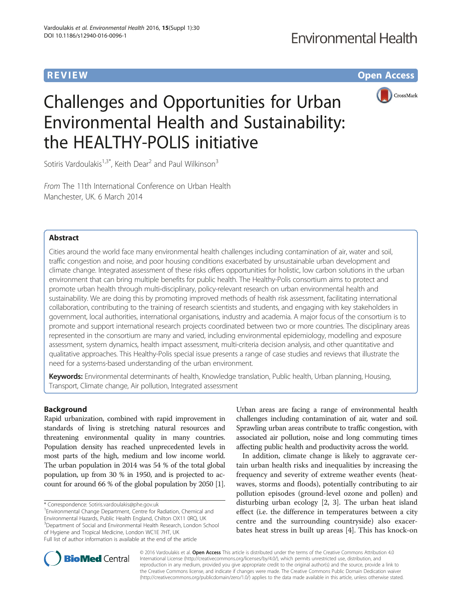## **Fnvironmental Health**

**REVIEW CONSTRUCTION CONSTRUCTION CONSTRUCTS** 



# Challenges and Opportunities for Urban Environmental Health and Sustainability: the HEALTHY-POLIS initiative

Sotiris Vardoulakis<sup>1,3\*</sup>, Keith Dear<sup>2</sup> and Paul Wilkinson<sup>3</sup>

From The 11th International Conference on Urban Health Manchester, UK. 6 March 2014

#### Abstract

Cities around the world face many environmental health challenges including contamination of air, water and soil, traffic congestion and noise, and poor housing conditions exacerbated by unsustainable urban development and climate change. Integrated assessment of these risks offers opportunities for holistic, low carbon solutions in the urban environment that can bring multiple benefits for public health. The Healthy-Polis consortium aims to protect and promote urban health through multi-disciplinary, policy-relevant research on urban environmental health and sustainability. We are doing this by promoting improved methods of health risk assessment, facilitating international collaboration, contributing to the training of research scientists and students, and engaging with key stakeholders in government, local authorities, international organisations, industry and academia. A major focus of the consortium is to promote and support international research projects coordinated between two or more countries. The disciplinary areas represented in the consortium are many and varied, including environmental epidemiology, modelling and exposure assessment, system dynamics, health impact assessment, multi-criteria decision analysis, and other quantitative and qualitative approaches. This Healthy-Polis special issue presents a range of case studies and reviews that illustrate the need for a systems-based understanding of the urban environment.

Keywords: Environmental determinants of health, Knowledge translation, Public health, Urban planning, Housing, Transport, Climate change, Air pollution, Integrated assessment

#### Background

Rapid urbanization, combined with rapid improvement in standards of living is stretching natural resources and threatening environmental quality in many countries. Population density has reached unprecedented levels in most parts of the high, medium and low income world. The urban population in 2014 was 54 % of the total global population, up from 30 % in 1950, and is projected to account for around 66 % of the global population by 2050 [[1](#page-3-0)].

<sup>1</sup> Environmental Change Department, Centre for Radiation, Chemical and Environmental Hazards, Public Health England, Chilton OX11 0RQ, UK <sup>3</sup>Department of Social and Environmental Health Research, London School of Hygiene and Tropical Medicine, London WC1E 7HT, UK Full list of author information is available at the end of the article

Urban areas are facing a range of environmental health challenges including contamination of air, water and soil. Sprawling urban areas contribute to traffic congestion, with associated air pollution, noise and long commuting times affecting public health and productivity across the world.

In addition, climate change is likely to aggravate certain urban health risks and inequalities by increasing the frequency and severity of extreme weather events (heatwaves, storms and floods), potentially contributing to air pollution episodes (ground-level ozone and pollen) and disturbing urban ecology [[2](#page-3-0), [3\]](#page-3-0). The urban heat island effect (i.e. the difference in temperatures between a city centre and the surrounding countryside) also exacerbates heat stress in built up areas [[4\]](#page-3-0). This has knock-on



© 2016 Vardoulakis et al. Open Access This article is distributed under the terms of the Creative Commons Attribution 4.0 International License [\(http://creativecommons.org/licenses/by/4.0/](http://creativecommons.org/licenses/by/4.0/)), which permits unrestricted use, distribution, and reproduction in any medium, provided you give appropriate credit to the original author(s) and the source, provide a link to the Creative Commons license, and indicate if changes were made. The Creative Commons Public Domain Dedication waiver [\(http://creativecommons.org/publicdomain/zero/1.0/](http://creativecommons.org/publicdomain/zero/1.0/)) applies to the data made available in this article, unless otherwise stated.

<sup>\*</sup> Correspondence: [Sotiris.vardoulakis@phe.gov.uk](mailto:Sotiris.vardoulakis@phe.gov.uk) <sup>1</sup>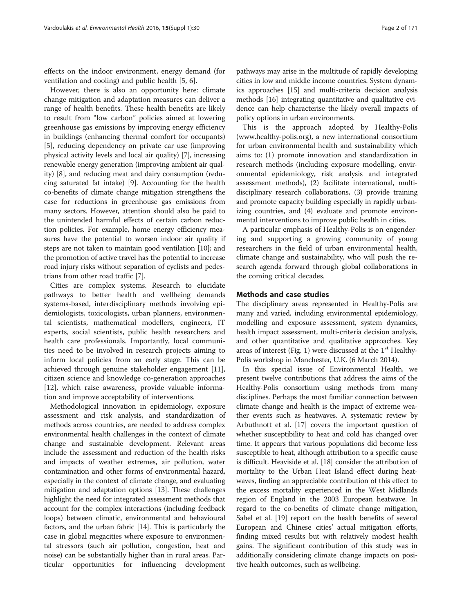effects on the indoor environment, energy demand (for ventilation and cooling) and public health [\[5](#page-3-0), [6](#page-3-0)].

However, there is also an opportunity here: climate change mitigation and adaptation measures can deliver a range of health benefits. These health benefits are likely to result from "low carbon" policies aimed at lowering greenhouse gas emissions by improving energy efficiency in buildings (enhancing thermal comfort for occupants) [[5\]](#page-3-0), reducing dependency on private car use (improving physical activity levels and local air quality) [\[7\]](#page-3-0), increasing renewable energy generation (improving ambient air quality) [\[8\]](#page-3-0), and reducing meat and dairy consumption (reducing saturated fat intake) [\[9\]](#page-3-0). Accounting for the health co-benefits of climate change mitigation strengthens the case for reductions in greenhouse gas emissions from many sectors. However, attention should also be paid to the unintended harmful effects of certain carbon reduction policies. For example, home energy efficiency measures have the potential to worsen indoor air quality if steps are not taken to maintain good ventilation [[10](#page-3-0)]; and the promotion of active travel has the potential to increase road injury risks without separation of cyclists and pedestrians from other road traffic [[7](#page-3-0)].

Cities are complex systems. Research to elucidate pathways to better health and wellbeing demands systems-based, interdisciplinary methods involving epidemiologists, toxicologists, urban planners, environmental scientists, mathematical modellers, engineers, IT experts, social scientists, public health researchers and health care professionals. Importantly, local communities need to be involved in research projects aiming to inform local policies from an early stage. This can be achieved through genuine stakeholder engagement [\[11](#page-3-0)], citizen science and knowledge co-generation approaches [[12\]](#page-3-0), which raise awareness, provide valuable information and improve acceptability of interventions.

Methodological innovation in epidemiology, exposure assessment and risk analysis, and standardization of methods across countries, are needed to address complex environmental health challenges in the context of climate change and sustainable development. Relevant areas include the assessment and reduction of the health risks and impacts of weather extremes, air pollution, water contamination and other forms of environmental hazard, especially in the context of climate change, and evaluating mitigation and adaptation options [[13\]](#page-3-0). These challenges highlight the need for integrated assessment methods that account for the complex interactions (including feedback loops) between climatic, environmental and behavioural factors, and the urban fabric [[14](#page-3-0)]. This is particularly the case in global megacities where exposure to environmental stressors (such air pollution, congestion, heat and noise) can be substantially higher than in rural areas. Particular opportunities for influencing development

pathways may arise in the multitude of rapidly developing cities in low and middle income countries. System dynamics approaches [[15](#page-3-0)] and multi-criteria decision analysis methods [\[16\]](#page-3-0) integrating quantitative and qualitative evidence can help characterise the likely overall impacts of policy options in urban environments.

This is the approach adopted by Healthy-Polis ([www.healthy-polis.org\)](http://www.healthy-polis.org/), a new international consortium for urban environmental health and sustainability which aims to: (1) promote innovation and standardization in research methods (including exposure modelling, environmental epidemiology, risk analysis and integrated assessment methods), (2) facilitate international, multidisciplinary research collaborations, (3) provide training and promote capacity building especially in rapidly urbanizing countries, and (4) evaluate and promote environmental interventions to improve public health in cities.

A particular emphasis of Healthy-Polis is on engendering and supporting a growing community of young researchers in the field of urban environmental health, climate change and sustainability, who will push the research agenda forward through global collaborations in the coming critical decades.

#### Methods and case studies

The disciplinary areas represented in Healthy-Polis are many and varied, including environmental epidemiology, modelling and exposure assessment, system dynamics, health impact assessment, multi-criteria decision analysis, and other quantitative and qualitative approaches. Key areas of interest (Fig. [1\)](#page-2-0) were discussed at the  $1<sup>st</sup>$  Healthy-Polis workshop in Manchester, U.K. (6 March 2014).

In this special issue of Environmental Health, we present twelve contributions that address the aims of the Healthy-Polis consortium using methods from many disciplines. Perhaps the most familiar connection between climate change and health is the impact of extreme weather events such as heatwaves. A systematic review by Arbuthnott et al. [\[17\]](#page-3-0) covers the important question of whether susceptibility to heat and cold has changed over time. It appears that various populations did become less susceptible to heat, although attribution to a specific cause is difficult. Heaviside et al. [[18](#page-3-0)] consider the attribution of mortality to the Urban Heat Island effect during heatwaves, finding an appreciable contribution of this effect to the excess mortality experienced in the West Midlands region of England in the 2003 European heatwave. In regard to the co-benefits of climate change mitigation, Sabel et al. [[19](#page-3-0)] report on the health benefits of several European and Chinese cities' actual mitigation efforts, finding mixed results but with relatively modest health gains. The significant contribution of this study was in additionally considering climate change impacts on positive health outcomes, such as wellbeing.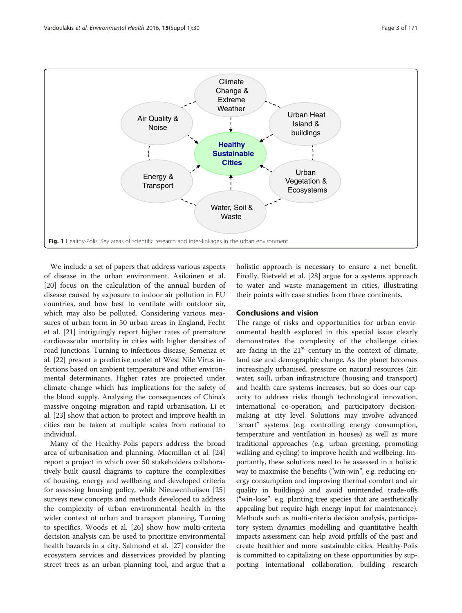<span id="page-2-0"></span>

Water, Soil & **Waste** 

We include a set of papers that address various aspects of disease in the urban environment. Asikainen et al. [[20\]](#page-3-0) focus on the calculation of the annual burden of disease caused by exposure to indoor air pollution in EU countries, and how best to ventilate with outdoor air, which may also be polluted. Considering various measures of urban form in 50 urban areas in England, Fecht et al. [[21\]](#page-3-0) intriguingly report higher rates of premature cardiovascular mortality in cities with higher densities of road junctions. Turning to infectious disease, Semenza et al. [\[22\]](#page-3-0) present a predictive model of West Nile Virus infections based on ambient temperature and other environmental determinants. Higher rates are projected under climate change which has implications for the safety of the blood supply. Analysing the consequences of China's massive ongoing migration and rapid urbanisation, Li et al. [[23](#page-3-0)] show that action to protect and improve health in cities can be taken at multiple scales from national to individual.

Energy & **Transport** 

Fig. 1 Healthy-Polis. Key areas of scientific research and inter-linkages in the urban environment

Many of the Healthy-Polis papers address the broad area of urbanisation and planning. Macmillan et al. [[24](#page-3-0)] report a project in which over 50 stakeholders collaboratively built causal diagrams to capture the complexities of housing, energy and wellbeing and developed criteria for assessing housing policy, while Nieuwenhuijsen [[25](#page-3-0)] surveys new concepts and methods developed to address the complexity of urban environmental health in the wider context of urban and transport planning. Turning to specifics, Woods et al. [[26\]](#page-3-0) show how multi-criteria decision analysis can be used to prioritize environmental health hazards in a city. Salmond et al. [[27](#page-3-0)] consider the ecosystem services and disservices provided by planting street trees as an urban planning tool, and argue that a holistic approach is necessary to ensure a net benefit. Finally, Rietveld et al. [\[28](#page-3-0)] argue for a systems approach to water and waste management in cities, illustrating their points with case studies from three continents.

Vegetation & Ecosystems

#### Conclusions and vision

The range of risks and opportunities for urban environmental health explored in this special issue clearly demonstrates the complexity of the challenge cities are facing in the  $21<sup>st</sup>$  century in the context of climate, land use and demographic change. As the planet becomes increasingly urbanised, pressure on natural resources (air, water, soil), urban infrastructure (housing and transport) and health care systems increases, but so does our capacity to address risks though technological innovation, international co-operation, and participatory decisionmaking at city level. Solutions may involve advanced "smart" systems (e.g. controlling energy consumption, temperature and ventilation in houses) as well as more traditional approaches (e.g. urban greening, promoting walking and cycling) to improve health and wellbeing. Importantly, these solutions need to be assessed in a holistic way to maximise the benefits ("win-win", e.g. reducing energy consumption and improving thermal comfort and air quality in buildings) and avoid unintended trade-offs ("win-lose", e.g. planting tree species that are aesthetically appealing but require high energy input for maintenance). Methods such as multi-criteria decision analysis, participatory system dynamics modelling and quantitative health impacts assessment can help avoid pitfalls of the past and create healthier and more sustainable cities. Healthy-Polis is committed to capitalizing on these opportunities by supporting international collaboration, building research